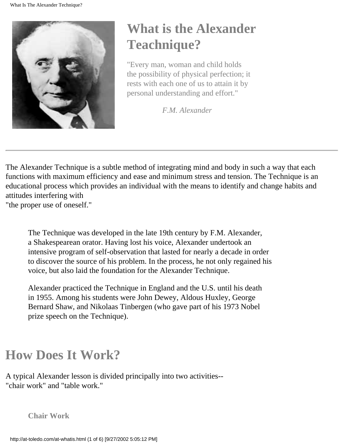

# **What is the Alexander Teachnique?**

"Every man, woman and child holds the possibility of physical perfection; it rests with each one of us to attain it by personal understanding and effort."

*F.M. Alexander*

The Alexander Technique is a subtle method of integrating mind and body in such a way that each functions with maximum efficiency and ease and minimum stress and tension. The Technique is an educational process which provides an individual with the means to identify and change habits and attitudes interfering with "the proper use of oneself."

The Technique was developed in the late 19th century by F.M. Alexander, a Shakespearean orator. Having lost his voice, Alexander undertook an intensive program of self-observation that lasted for nearly a decade in order to discover the source of his problem. In the process, he not only regained his voice, but also laid the foundation for the Alexander Technique.

Alexander practiced the Technique in England and the U.S. until his death in 1955. Among his students were John Dewey, Aldous Huxley, George Bernard Shaw, and Nikolaas Tinbergen (who gave part of his 1973 Nobel prize speech on the Technique).

## **How Does It Work?**

A typical Alexander lesson is divided principally into two activities-- "chair work" and "table work."

**Chair Work**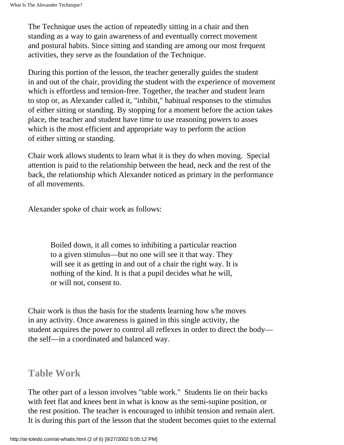The Technique uses the action of repeatedly sitting in a chair and then standing as a way to gain awareness of and eventually correct movement and postural habits. Since sitting and standing are among our most frequent activities, they serve as the foundation of the Technique.

During this portion of the lesson, the teacher generally guides the student in and out of the chair, providing the student with the experience of movement which is effortless and tension-free. Together, the teacher and student learn to stop or, as Alexander called it, "inhibit," habitual responses to the stimulus of either sitting or standing. By stopping for a moment before the action takes place, the teacher and student have time to use reasoning powers to asses which is the most efficient and appropriate way to perform the action of either sitting or standing.

Chair work allows students to learn what it is they do when moving. Special attention is paid to the relationship between the head, neck and the rest of the back, the relationship which Alexander noticed as primary in the performance of all movements.

Alexander spoke of chair work as follows:

Boiled down, it all comes to inhibiting a particular reaction to a given stimulus—but no one will see it that way. They will see it as getting in and out of a chair the right way. It is nothing of the kind. It is that a pupil decides what he will, or will not, consent to.

Chair work is thus the basis for the students learning how s/he moves in any activity. Once awareness is gained in this single activity, the student acquires the power to control all reflexes in order to direct the body the self—in a coordinated and balanced way.

#### **Table Work**

The other part of a lesson involves "table work." Students lie on their backs with feet flat and knees bent in what is know as the semi-supine position, or the rest position. The teacher is encouraged to inhibit tension and remain alert. It is during this part of the lesson that the student becomes quiet to the external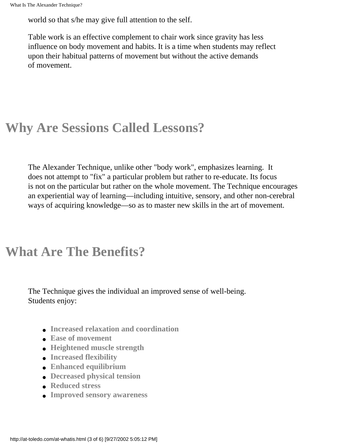world so that s/he may give full attention to the self.

Table work is an effective complement to chair work since gravity has less influence on body movement and habits. It is a time when students may reflect upon their habitual patterns of movement but without the active demands of movement.

#### **Why Are Sessions Called Lessons?**

The Alexander Technique, unlike other "body work", emphasizes learning. It does not attempt to "fix" a particular problem but rather to re-educate. Its focus is not on the particular but rather on the whole movement. The Technique encourages an experiential way of learning—including intuitive, sensory, and other non-cerebral ways of acquiring knowledge—so as to master new skills in the art of movement.

#### **What Are The Benefits?**

The Technique gives the individual an improved sense of well-being. Students enjoy:

- **Increased relaxation and coordination**
- **Ease of movement**
- **Heightened muscle strength**
- **Increased flexibility**
- **Enhanced equilibrium**
- **Decreased physical tension**
- **Reduced stress**
- **Improved sensory awareness**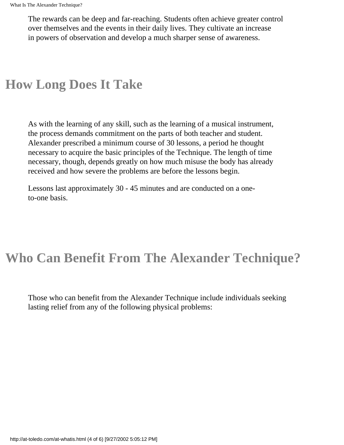The rewards can be deep and far-reaching. Students often achieve greater control over themselves and the events in their daily lives. They cultivate an increase in powers of observation and develop a much sharper sense of awareness.

#### **How Long Does It Take**

As with the learning of any skill, such as the learning of a musical instrument, the process demands commitment on the parts of both teacher and student. Alexander prescribed a minimum course of 30 lessons, a period he thought necessary to acquire the basic principles of the Technique. The length of time necessary, though, depends greatly on how much misuse the body has already received and how severe the problems are before the lessons begin.

Lessons last approximately 30 - 45 minutes and are conducted on a oneto-one basis.

### **Who Can Benefit From The Alexander Technique?**

Those who can benefit from the Alexander Technique include individuals seeking lasting relief from any of the following physical problems: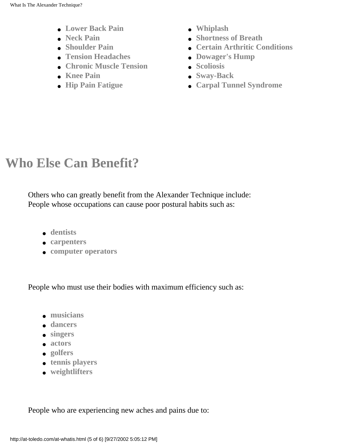- **Lower Back Pain**
- **Neck Pain**
- **Shoulder Pain**
- **Tension Headaches**
- **Chronic Muscle Tension**
- **Knee Pain**
- **Hip Pain Fatigue**
- **Whiplash**
- **Shortness of Breath**
- **Certain Arthritic Conditions**
- **Dowager's Hump**
- **Scoliosis**
- **Sway-Back**
- **Carpal Tunnel Syndrome**

# **Who Else Can Benefit?**

Others who can greatly benefit from the Alexander Technique include: People whose occupations can cause poor postural habits such as:

- **dentists**
- **carpenters**
- **computer operators**

People who must use their bodies with maximum efficiency such as:

- **musicians**
- **dancers**
- **singers**
- **actors**
- **golfers**
- **tennis players**
- **weightlifters**

People who are experiencing new aches and pains due to: